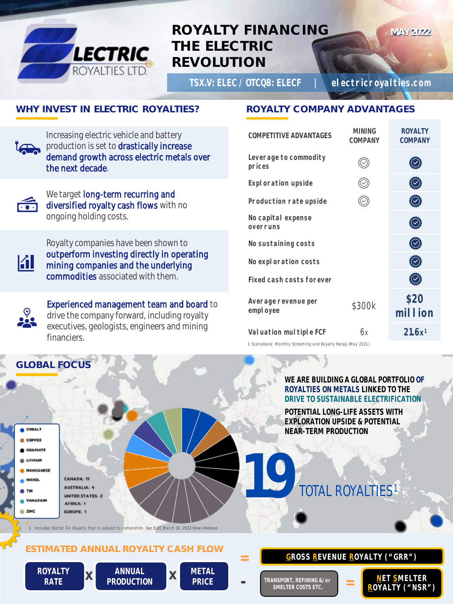

# **ROYALTY FINANCING THE ELECTRIC REVOLUTION**

**TSX.V:** ELEC **/ OTCQB:** ELECF **| electricroyalties.com**

**MAY 2022**

### **WHY INVEST IN ELECTRIC ROYALTIES?**

Increasing electric vehicle and battery production is set to drastically increase demand growth across electric metals over the next decade.



We target long-term recurring and diversified royalty cash flows with no ongoing holding costs.



Royalty companies have been shown to outperform investing directly in operating mining companies and the underlying commodities associated with them.



**GLOBAL FOCUS**

Experienced management team and board to drive the company forward, including royalty executives, geologists, engineers and mining financiers.

## **ROYALTY COMPANY ADVANTAGES**

| <b>MINING</b><br><b>COMPANY</b> | <b>ROYALTY</b><br><b>COMPANY</b> |
|---------------------------------|----------------------------------|
|                                 |                                  |
|                                 |                                  |
|                                 |                                  |
|                                 |                                  |
|                                 | $\vee$                           |
|                                 |                                  |
|                                 |                                  |
| \$300K                          | \$20<br><b>MILLION</b>           |
| 6х                              | 21.6x <sup>1</sup>               |
|                                 |                                  |

*1. Scotiabank: Monthly Streaming and Royalty Recap (May 2021 )* 

#### **WE ARE BUILDING A GLOBAL PORTFOLIO OF ROYALTIES ON METALS LINKED TO THE DRIVE TO SUSTAINABLE ELECTRIFICATION**

**POTENTIAL LONG-LIFE ASSETS WITH EXPLORATION UPSIDE & POTENTIAL NEAR-TERM PRODUCTION**